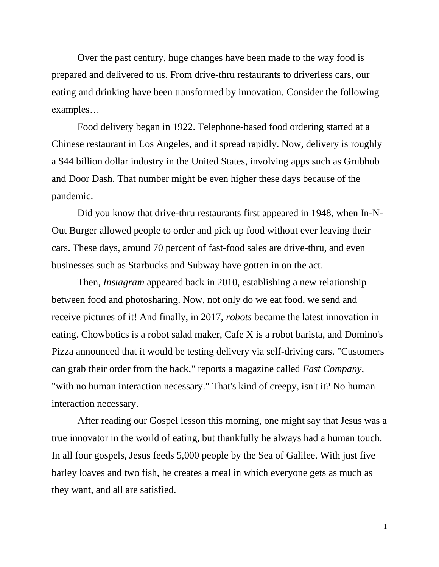Over the past century, huge changes have been made to the way food is prepared and delivered to us. From drive-thru restaurants to driverless cars, our eating and drinking have been transformed by innovation. Consider the following examples…

Food delivery began in 1922. Telephone-based food ordering started at a Chinese restaurant in Los Angeles, and it spread rapidly. Now, delivery is roughly a \$44 billion dollar industry in the United States, involving apps such as Grubhub and Door Dash. That number might be even higher these days because of the pandemic.

Did you know that drive-thru restaurants first appeared in 1948, when In-N-Out Burger allowed people to order and pick up food without ever leaving their cars. These days, around 70 percent of fast-food sales are drive-thru, and even businesses such as Starbucks and Subway have gotten in on the act.

Then, *Instagram* appeared back in 2010, establishing a new relationship between food and photosharing. Now, not only do we eat food, we send and receive pictures of it! And finally, in 2017, *robots* became the latest innovation in eating. Chowbotics is a robot salad maker, Cafe X is a robot barista, and Domino's Pizza announced that it would be testing delivery via self-driving cars. "Customers can grab their order from the back," reports a magazine called *Fast Company*, "with no human interaction necessary." That's kind of creepy, isn't it? No human interaction necessary.

After reading our Gospel lesson this morning, one might say that Jesus was a true innovator in the world of eating, but thankfully he always had a human touch. In all four gospels, Jesus feeds 5,000 people by the Sea of Galilee. With just five barley loaves and two fish, he creates a meal in which everyone gets as much as they want, and all are satisfied.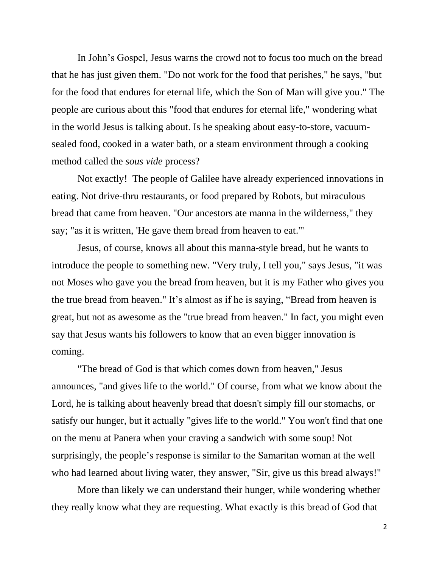In John's Gospel, Jesus warns the crowd not to focus too much on the bread that he has just given them. "Do not work for the food that perishes," he says, "but for the food that endures for eternal life, which the Son of Man will give you." The people are curious about this "food that endures for eternal life," wondering what in the world Jesus is talking about. Is he speaking about easy-to-store, vacuumsealed food, cooked in a water bath, or a steam environment through a cooking method called the *sous vide* process?

Not exactly! The people of Galilee have already experienced innovations in eating. Not drive-thru restaurants, or food prepared by Robots, but miraculous bread that came from heaven. "Our ancestors ate manna in the wilderness," they say; "as it is written, 'He gave them bread from heaven to eat.'"

Jesus, of course, knows all about this manna-style bread, but he wants to introduce the people to something new. "Very truly, I tell you," says Jesus, "it was not Moses who gave you the bread from heaven, but it is my Father who gives you the true bread from heaven." It's almost as if he is saying, "Bread from heaven is great, but not as awesome as the "true bread from heaven." In fact, you might even say that Jesus wants his followers to know that an even bigger innovation is coming.

"The bread of God is that which comes down from heaven," Jesus announces, "and gives life to the world." Of course, from what we know about the Lord, he is talking about heavenly bread that doesn't simply fill our stomachs, or satisfy our hunger, but it actually "gives life to the world." You won't find that one on the menu at Panera when your craving a sandwich with some soup! Not surprisingly, the people's response is similar to the Samaritan woman at the well who had learned about living water, they answer, "Sir, give us this bread always!"

More than likely we can understand their hunger, while wondering whether they really know what they are requesting. What exactly is this bread of God that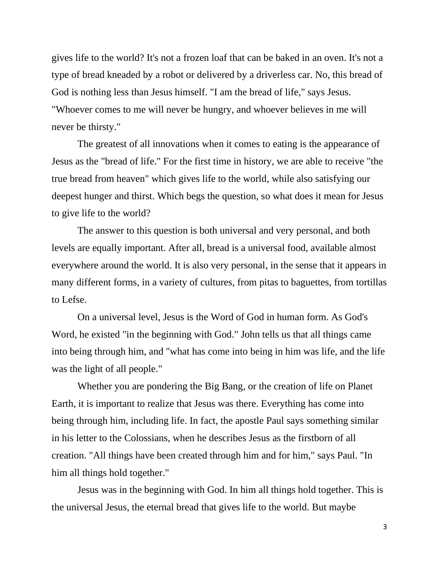gives life to the world? It's not a frozen loaf that can be baked in an oven. It's not a type of bread kneaded by a robot or delivered by a driverless car. No, this bread of God is nothing less than Jesus himself. "I am the bread of life," says Jesus. "Whoever comes to me will never be hungry, and whoever believes in me will never be thirsty."

The greatest of all innovations when it comes to eating is the appearance of Jesus as the "bread of life." For the first time in history, we are able to receive "the true bread from heaven" which gives life to the world, while also satisfying our deepest hunger and thirst. Which begs the question, so what does it mean for Jesus to give life to the world?

The answer to this question is both universal and very personal, and both levels are equally important. After all, bread is a universal food, available almost everywhere around the world. It is also very personal, in the sense that it appears in many different forms, in a variety of cultures, from pitas to baguettes, from tortillas to Lefse.

On a universal level, Jesus is the Word of God in human form. As God's Word, he existed "in the beginning with God." John tells us that all things came into being through him, and "what has come into being in him was life, and the life was the light of all people."

Whether you are pondering the Big Bang, or the creation of life on Planet Earth, it is important to realize that Jesus was there. Everything has come into being through him, including life. In fact, the apostle Paul says something similar in his letter to the Colossians, when he describes Jesus as the firstborn of all creation. "All things have been created through him and for him," says Paul. "In him all things hold together."

Jesus was in the beginning with God. In him all things hold together. This is the universal Jesus, the eternal bread that gives life to the world. But maybe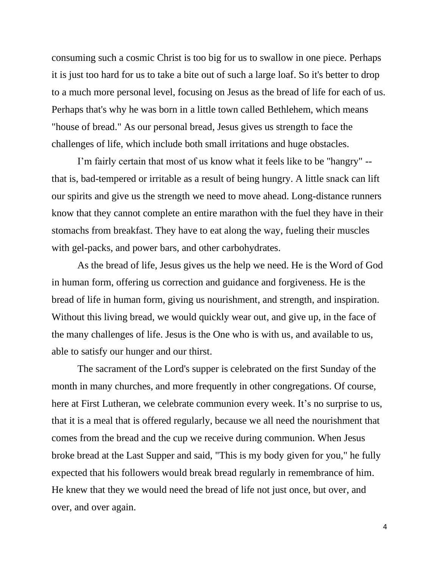consuming such a cosmic Christ is too big for us to swallow in one piece. Perhaps it is just too hard for us to take a bite out of such a large loaf. So it's better to drop to a much more personal level, focusing on Jesus as the bread of life for each of us. Perhaps that's why he was born in a little town called Bethlehem, which means "house of bread." As our personal bread, Jesus gives us strength to face the challenges of life, which include both small irritations and huge obstacles.

I'm fairly certain that most of us know what it feels like to be "hangry" - that is, bad-tempered or irritable as a result of being hungry. A little snack can lift our spirits and give us the strength we need to move ahead. Long-distance runners know that they cannot complete an entire marathon with the fuel they have in their stomachs from breakfast. They have to eat along the way, fueling their muscles with gel-packs, and power bars, and other carbohydrates.

As the bread of life, Jesus gives us the help we need. He is the Word of God in human form, offering us correction and guidance and forgiveness. He is the bread of life in human form, giving us nourishment, and strength, and inspiration. Without this living bread, we would quickly wear out, and give up, in the face of the many challenges of life. Jesus is the One who is with us, and available to us, able to satisfy our hunger and our thirst.

The sacrament of the Lord's supper is celebrated on the first Sunday of the month in many churches, and more frequently in other congregations. Of course, here at First Lutheran, we celebrate communion every week. It's no surprise to us, that it is a meal that is offered regularly, because we all need the nourishment that comes from the bread and the cup we receive during communion. When Jesus broke bread at the Last Supper and said, "This is my body given for you," he fully expected that his followers would break bread regularly in remembrance of him. He knew that they we would need the bread of life not just once, but over, and over, and over again.